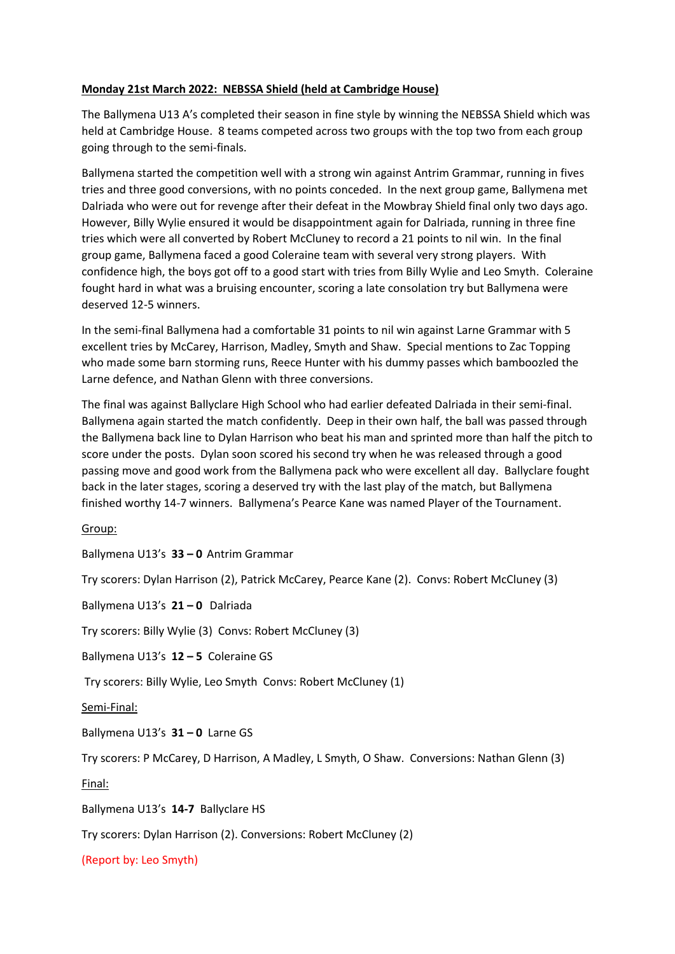# **Monday 21st March 2022: NEBSSA Shield (held at Cambridge House)**

The Ballymena U13 A's completed their season in fine style by winning the NEBSSA Shield which was held at Cambridge House. 8 teams competed across two groups with the top two from each group going through to the semi-finals.

Ballymena started the competition well with a strong win against Antrim Grammar, running in fives tries and three good conversions, with no points conceded. In the next group game, Ballymena met Dalriada who were out for revenge after their defeat in the Mowbray Shield final only two days ago. However, Billy Wylie ensured it would be disappointment again for Dalriada, running in three fine tries which were all converted by Robert McCluney to record a 21 points to nil win. In the final group game, Ballymena faced a good Coleraine team with several very strong players. With confidence high, the boys got off to a good start with tries from Billy Wylie and Leo Smyth. Coleraine fought hard in what was a bruising encounter, scoring a late consolation try but Ballymena were deserved 12-5 winners.

In the semi-final Ballymena had a comfortable 31 points to nil win against Larne Grammar with 5 excellent tries by McCarey, Harrison, Madley, Smyth and Shaw. Special mentions to Zac Topping who made some barn storming runs, Reece Hunter with his dummy passes which bamboozled the Larne defence, and Nathan Glenn with three conversions.

The final was against Ballyclare High School who had earlier defeated Dalriada in their semi-final. Ballymena again started the match confidently. Deep in their own half, the ball was passed through the Ballymena back line to Dylan Harrison who beat his man and sprinted more than half the pitch to score under the posts. Dylan soon scored his second try when he was released through a good passing move and good work from the Ballymena pack who were excellent all day. Ballyclare fought back in the later stages, scoring a deserved try with the last play of the match, but Ballymena finished worthy 14-7 winners. Ballymena's Pearce Kane was named Player of the Tournament.

Group:

Ballymena U13's **33 – 0** Antrim Grammar

Try scorers: Dylan Harrison (2), Patrick McCarey, Pearce Kane (2). Convs: Robert McCluney (3)

Ballymena U13's **21 – 0** Dalriada

Try scorers: Billy Wylie (3) Convs: Robert McCluney (3)

Ballymena U13's **12 – 5** Coleraine GS

Try scorers: Billy Wylie, Leo Smyth Convs: Robert McCluney (1)

Semi-Final:

Ballymena U13's **31 – 0** Larne GS

Try scorers: P McCarey, D Harrison, A Madley, L Smyth, O Shaw. Conversions: Nathan Glenn (3)

Final:

Ballymena U13's **14-7** Ballyclare HS

Try scorers: Dylan Harrison (2). Conversions: Robert McCluney (2)

(Report by: Leo Smyth)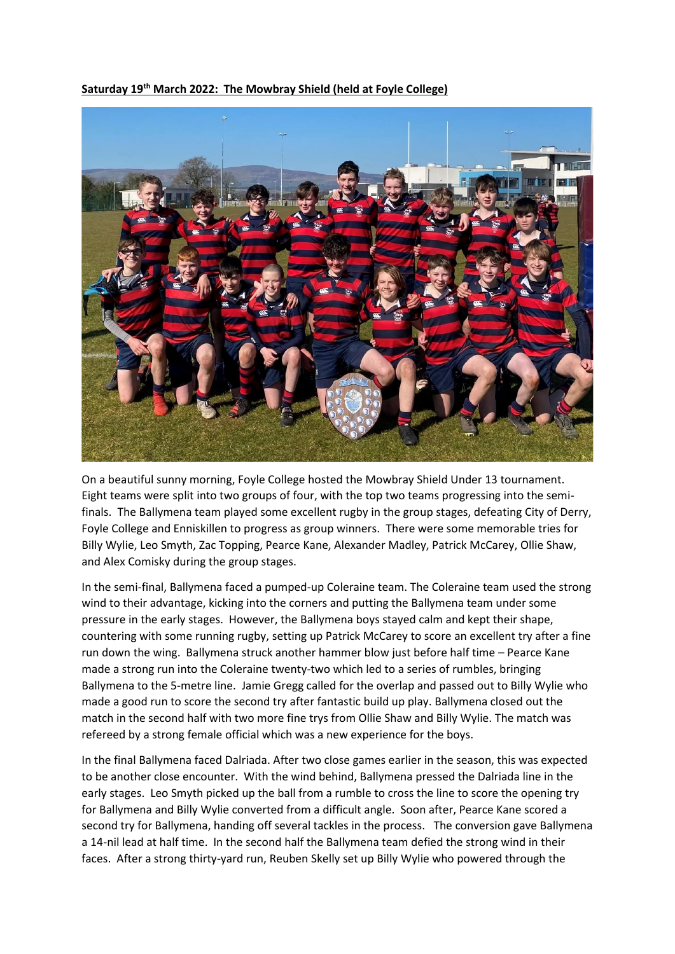

**Saturday 19th March 2022: The Mowbray Shield (held at Foyle College)**

On a beautiful sunny morning, Foyle College hosted the Mowbray Shield Under 13 tournament. Eight teams were split into two groups of four, with the top two teams progressing into the semifinals. The Ballymena team played some excellent rugby in the group stages, defeating City of Derry, Foyle College and Enniskillen to progress as group winners. There were some memorable tries for Billy Wylie, Leo Smyth, Zac Topping, Pearce Kane, Alexander Madley, Patrick McCarey, Ollie Shaw, and Alex Comisky during the group stages.

In the semi-final, Ballymena faced a pumped-up Coleraine team. The Coleraine team used the strong wind to their advantage, kicking into the corners and putting the Ballymena team under some pressure in the early stages. However, the Ballymena boys stayed calm and kept their shape, countering with some running rugby, setting up Patrick McCarey to score an excellent try after a fine run down the wing. Ballymena struck another hammer blow just before half time – Pearce Kane made a strong run into the Coleraine twenty-two which led to a series of rumbles, bringing Ballymena to the 5-metre line. Jamie Gregg called for the overlap and passed out to Billy Wylie who made a good run to score the second try after fantastic build up play. Ballymena closed out the match in the second half with two more fine trys from Ollie Shaw and Billy Wylie. The match was refereed by a strong female official which was a new experience for the boys.

In the final Ballymena faced Dalriada. After two close games earlier in the season, this was expected to be another close encounter. With the wind behind, Ballymena pressed the Dalriada line in the early stages. Leo Smyth picked up the ball from a rumble to cross the line to score the opening try for Ballymena and Billy Wylie converted from a difficult angle. Soon after, Pearce Kane scored a second try for Ballymena, handing off several tackles in the process. The conversion gave Ballymena a 14-nil lead at half time. In the second half the Ballymena team defied the strong wind in their faces. After a strong thirty-yard run, Reuben Skelly set up Billy Wylie who powered through the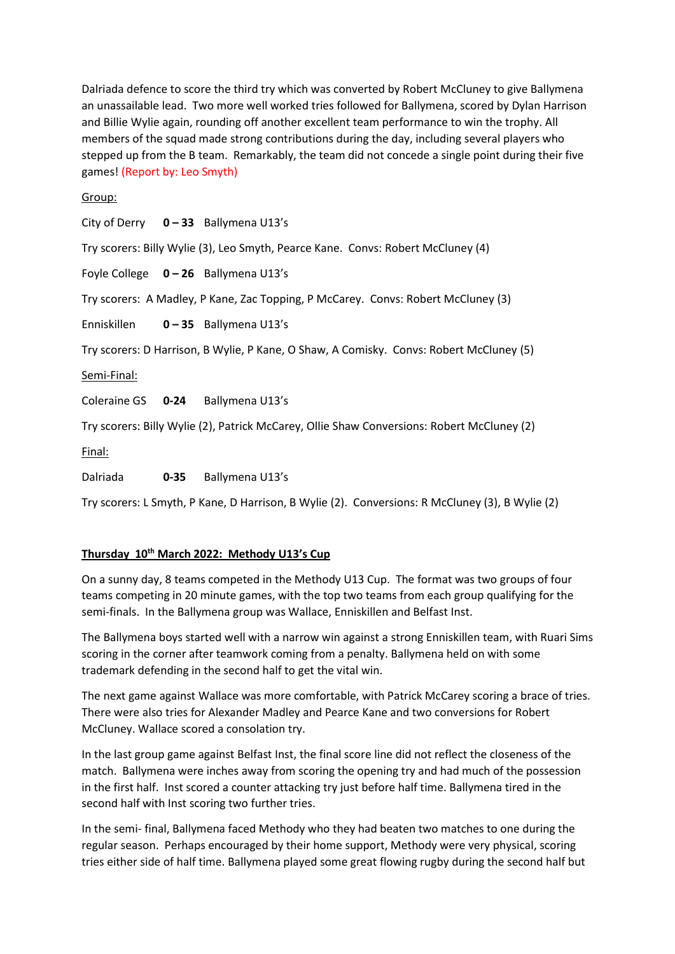Dalriada defence to score the third try which was converted by Robert McCluney to give Ballymena an unassailable lead. Two more well worked tries followed for Ballymena, scored by Dylan Harrison and Billie Wylie again, rounding off another excellent team performance to win the trophy. All members of the squad made strong contributions during the day, including several players who stepped up from the B team. Remarkably, the team did not concede a single point during their five games! (Report by: Leo Smyth)

# Group:

City of Derry **0 – 33** Ballymena U13's

Try scorers: Billy Wylie (3), Leo Smyth, Pearce Kane. Convs: Robert McCluney (4)

Foyle College **0 – 26** Ballymena U13's

Try scorers: A Madley, P Kane, Zac Topping, P McCarey. Convs: Robert McCluney (3)

Enniskillen **0 – 35** Ballymena U13's

Try scorers: D Harrison, B Wylie, P Kane, O Shaw, A Comisky. Convs: Robert McCluney (5)

Semi-Final:

Coleraine GS **0-24** Ballymena U13's

Try scorers: Billy Wylie (2), Patrick McCarey, Ollie Shaw Conversions: Robert McCluney (2)

Final:

Dalriada **0-35** Ballymena U13's

Try scorers: L Smyth, P Kane, D Harrison, B Wylie (2). Conversions: R McCluney (3), B Wylie (2)

## **Thursday 10th March 2022: Methody U13's Cup**

On a sunny day, 8 teams competed in the Methody U13 Cup. The format was two groups of four teams competing in 20 minute games, with the top two teams from each group qualifying for the semi-finals. In the Ballymena group was Wallace, Enniskillen and Belfast Inst.

The Ballymena boys started well with a narrow win against a strong Enniskillen team, with Ruari Sims scoring in the corner after teamwork coming from a penalty. Ballymena held on with some trademark defending in the second half to get the vital win.

The next game against Wallace was more comfortable, with Patrick McCarey scoring a brace of tries. There were also tries for Alexander Madley and Pearce Kane and two conversions for Robert McCluney. Wallace scored a consolation try.

In the last group game against Belfast Inst, the final score line did not reflect the closeness of the match. Ballymena were inches away from scoring the opening try and had much of the possession in the first half. Inst scored a counter attacking try just before half time. Ballymena tired in the second half with Inst scoring two further tries.

In the semi- final, Ballymena faced Methody who they had beaten two matches to one during the regular season. Perhaps encouraged by their home support, Methody were very physical, scoring tries either side of half time. Ballymena played some great flowing rugby during the second half but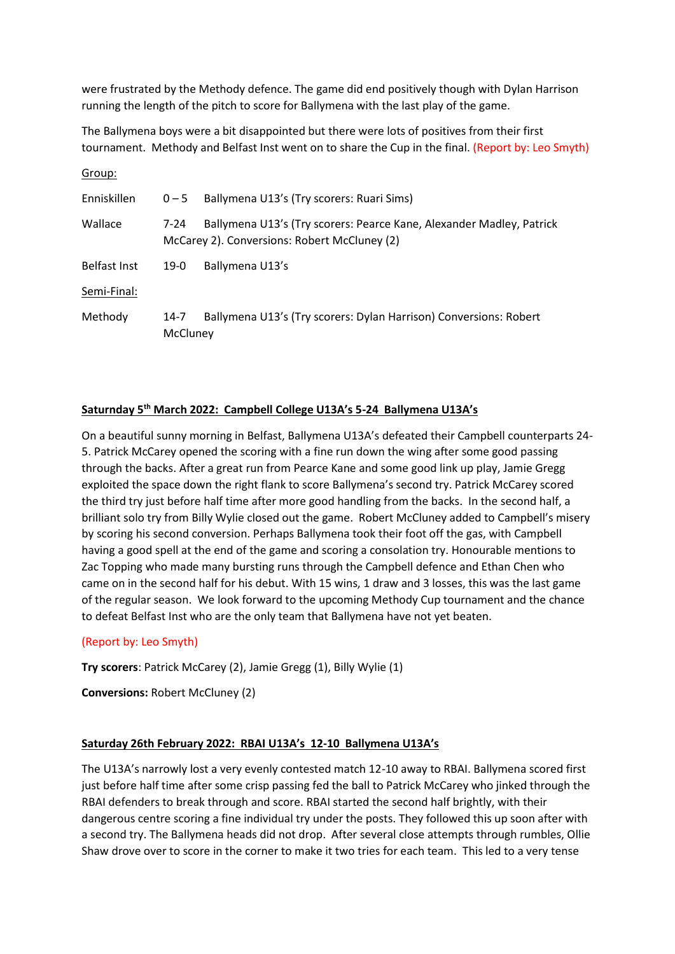were frustrated by the Methody defence. The game did end positively though with Dylan Harrison running the length of the pitch to score for Ballymena with the last play of the game.

The Ballymena boys were a bit disappointed but there were lots of positives from their first tournament. Methody and Belfast Inst went on to share the Cup in the final. (Report by: Leo Smyth)

| Group:              |                  |                                                                                                                      |  |  |  |
|---------------------|------------------|----------------------------------------------------------------------------------------------------------------------|--|--|--|
| Enniskillen         | $0 - 5$          | Ballymena U13's (Try scorers: Ruari Sims)                                                                            |  |  |  |
| Wallace             | 7-24             | Ballymena U13's (Try scorers: Pearce Kane, Alexander Madley, Patrick<br>McCarey 2). Conversions: Robert McCluney (2) |  |  |  |
| <b>Belfast Inst</b> | $19-0$           | Ballymena U13's                                                                                                      |  |  |  |
| Semi-Final:         |                  |                                                                                                                      |  |  |  |
| Methody             | 14-7<br>McCluney | Ballymena U13's (Try scorers: Dylan Harrison) Conversions: Robert                                                    |  |  |  |

# **Saturnday 5th March 2022: Campbell College U13A's 5-24 Ballymena U13A's**

On a beautiful sunny morning in Belfast, Ballymena U13A's defeated their Campbell counterparts 24- 5. Patrick McCarey opened the scoring with a fine run down the wing after some good passing through the backs. After a great run from Pearce Kane and some good link up play, Jamie Gregg exploited the space down the right flank to score Ballymena's second try. Patrick McCarey scored the third try just before half time after more good handling from the backs. In the second half, a brilliant solo try from Billy Wylie closed out the game. Robert McCluney added to Campbell's misery by scoring his second conversion. Perhaps Ballymena took their foot off the gas, with Campbell having a good spell at the end of the game and scoring a consolation try. Honourable mentions to Zac Topping who made many bursting runs through the Campbell defence and Ethan Chen who came on in the second half for his debut. With 15 wins, 1 draw and 3 losses, this was the last game of the regular season. We look forward to the upcoming Methody Cup tournament and the chance to defeat Belfast Inst who are the only team that Ballymena have not yet beaten.

### (Report by: Leo Smyth)

**Try scorers**: Patrick McCarey (2), Jamie Gregg (1), Billy Wylie (1)

**Conversions:** Robert McCluney (2)

### **Saturday 26th February 2022: RBAI U13A's 12-10 Ballymena U13A's**

The U13A's narrowly lost a very evenly contested match 12-10 away to RBAI. Ballymena scored first just before half time after some crisp passing fed the ball to Patrick McCarey who jinked through the RBAI defenders to break through and score. RBAI started the second half brightly, with their dangerous centre scoring a fine individual try under the posts. They followed this up soon after with a second try. The Ballymena heads did not drop. After several close attempts through rumbles, Ollie Shaw drove over to score in the corner to make it two tries for each team. This led to a very tense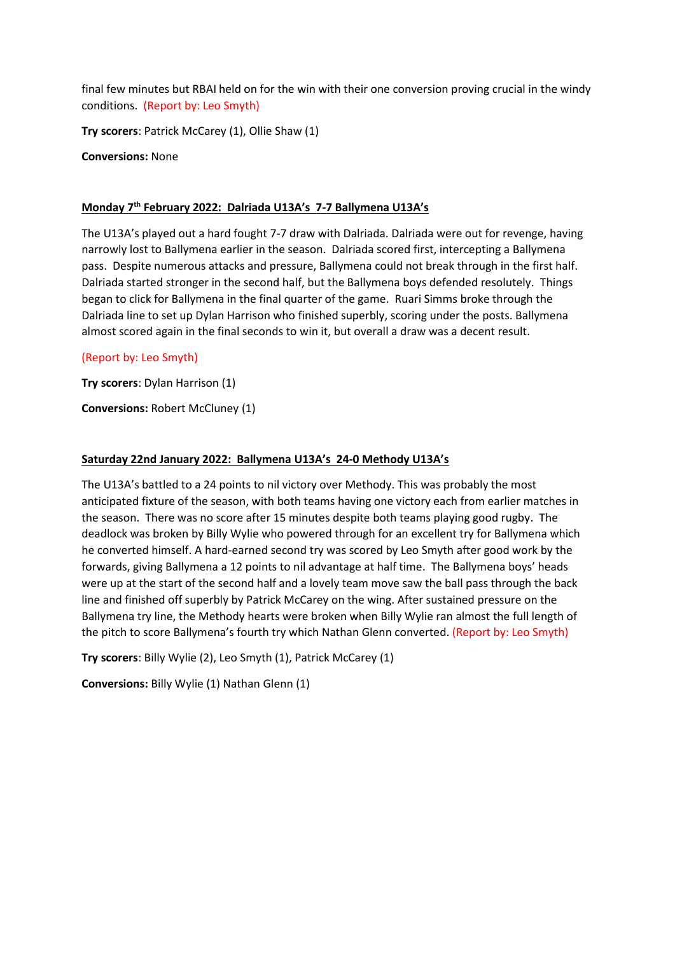final few minutes but RBAI held on for the win with their one conversion proving crucial in the windy conditions. (Report by: Leo Smyth)

**Try scorers**: Patrick McCarey (1), Ollie Shaw (1)

**Conversions:** None

# **Monday 7th February 2022: Dalriada U13A's 7-7 Ballymena U13A's**

The U13A's played out a hard fought 7-7 draw with Dalriada. Dalriada were out for revenge, having narrowly lost to Ballymena earlier in the season. Dalriada scored first, intercepting a Ballymena pass. Despite numerous attacks and pressure, Ballymena could not break through in the first half. Dalriada started stronger in the second half, but the Ballymena boys defended resolutely. Things began to click for Ballymena in the final quarter of the game. Ruari Simms broke through the Dalriada line to set up Dylan Harrison who finished superbly, scoring under the posts. Ballymena almost scored again in the final seconds to win it, but overall a draw was a decent result.

# (Report by: Leo Smyth)

**Try scorers**: Dylan Harrison (1)

**Conversions:** Robert McCluney (1)

# **Saturday 22nd January 2022: Ballymena U13A's 24-0 Methody U13A's**

The U13A's battled to a 24 points to nil victory over Methody. This was probably the most anticipated fixture of the season, with both teams having one victory each from earlier matches in the season. There was no score after 15 minutes despite both teams playing good rugby. The deadlock was broken by Billy Wylie who powered through for an excellent try for Ballymena which he converted himself. A hard-earned second try was scored by Leo Smyth after good work by the forwards, giving Ballymena a 12 points to nil advantage at half time. The Ballymena boys' heads were up at the start of the second half and a lovely team move saw the ball pass through the back line and finished off superbly by Patrick McCarey on the wing. After sustained pressure on the Ballymena try line, the Methody hearts were broken when Billy Wylie ran almost the full length of the pitch to score Ballymena's fourth try which Nathan Glenn converted. (Report by: Leo Smyth)

**Try scorers**: Billy Wylie (2), Leo Smyth (1), Patrick McCarey (1)

**Conversions:** Billy Wylie (1) Nathan Glenn (1)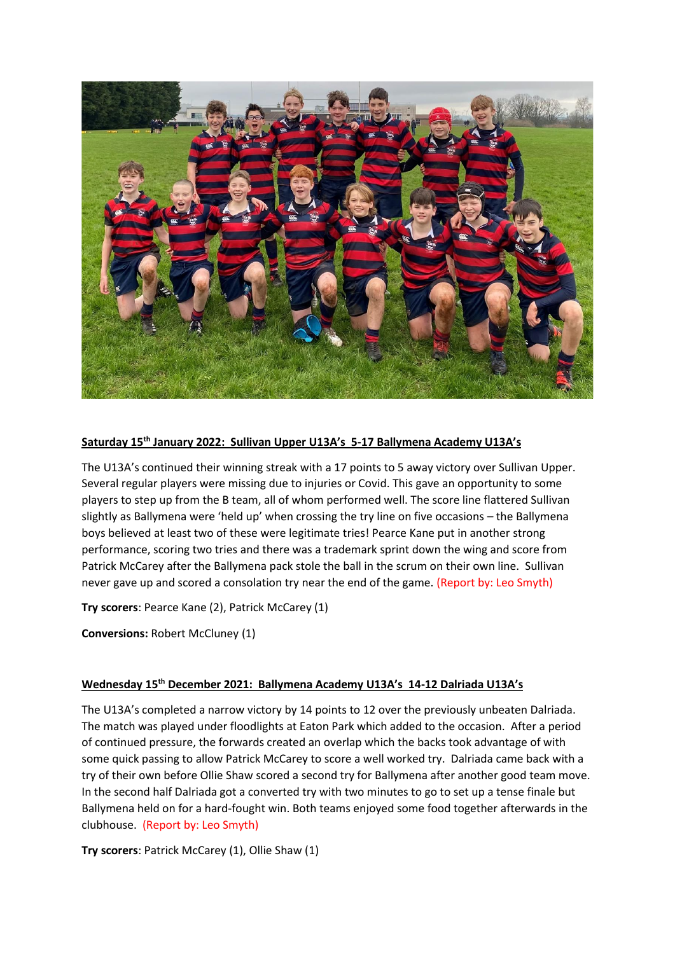

# **Saturday 15th January 2022: Sullivan Upper U13A's 5-17 Ballymena Academy U13A's**

The U13A's continued their winning streak with a 17 points to 5 away victory over Sullivan Upper. Several regular players were missing due to injuries or Covid. This gave an opportunity to some players to step up from the B team, all of whom performed well. The score line flattered Sullivan slightly as Ballymena were 'held up' when crossing the try line on five occasions – the Ballymena boys believed at least two of these were legitimate tries! Pearce Kane put in another strong performance, scoring two tries and there was a trademark sprint down the wing and score from Patrick McCarey after the Ballymena pack stole the ball in the scrum on their own line. Sullivan never gave up and scored a consolation try near the end of the game. (Report by: Leo Smyth)

**Try scorers**: Pearce Kane (2), Patrick McCarey (1)

**Conversions:** Robert McCluney (1)

# **Wednesday 15th December 2021: Ballymena Academy U13A's 14-12 Dalriada U13A's**

The U13A's completed a narrow victory by 14 points to 12 over the previously unbeaten Dalriada. The match was played under floodlights at Eaton Park which added to the occasion. After a period of continued pressure, the forwards created an overlap which the backs took advantage of with some quick passing to allow Patrick McCarey to score a well worked try. Dalriada came back with a try of their own before Ollie Shaw scored a second try for Ballymena after another good team move. In the second half Dalriada got a converted try with two minutes to go to set up a tense finale but Ballymena held on for a hard-fought win. Both teams enjoyed some food together afterwards in the clubhouse. (Report by: Leo Smyth)

**Try scorers**: Patrick McCarey (1), Ollie Shaw (1)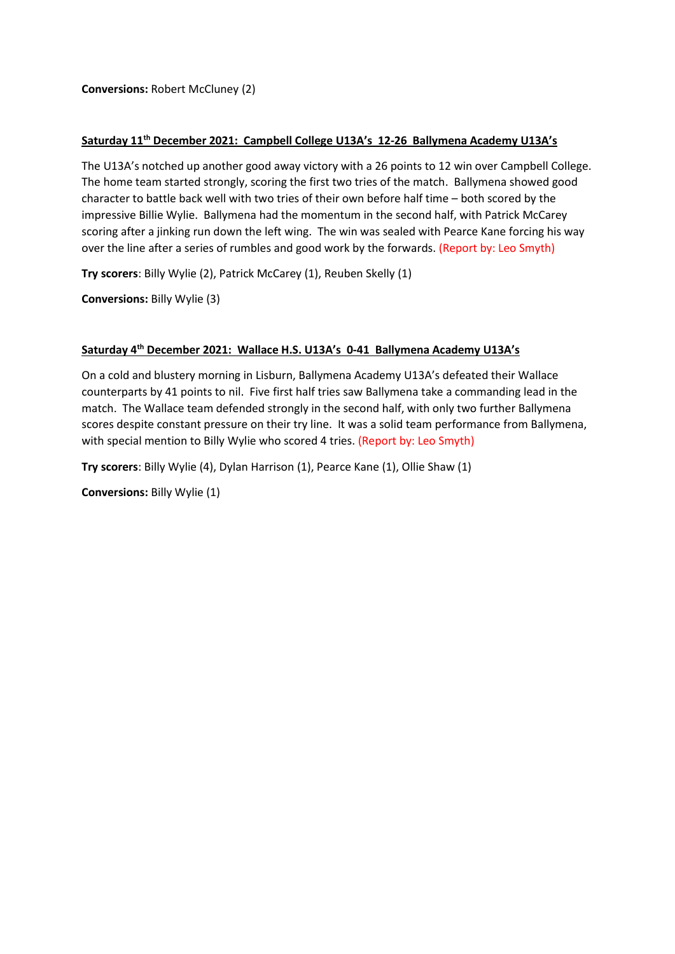**Conversions:** Robert McCluney (2)

## **Saturday 11th December 2021: Campbell College U13A's 12-26 Ballymena Academy U13A's**

The U13A's notched up another good away victory with a 26 points to 12 win over Campbell College. The home team started strongly, scoring the first two tries of the match. Ballymena showed good character to battle back well with two tries of their own before half time – both scored by the impressive Billie Wylie. Ballymena had the momentum in the second half, with Patrick McCarey scoring after a jinking run down the left wing. The win was sealed with Pearce Kane forcing his way over the line after a series of rumbles and good work by the forwards. (Report by: Leo Smyth)

**Try scorers**: Billy Wylie (2), Patrick McCarey (1), Reuben Skelly (1)

**Conversions:** Billy Wylie (3)

# **Saturday 4th December 2021: Wallace H.S. U13A's 0-41 Ballymena Academy U13A's**

On a cold and blustery morning in Lisburn, Ballymena Academy U13A's defeated their Wallace counterparts by 41 points to nil. Five first half tries saw Ballymena take a commanding lead in the match. The Wallace team defended strongly in the second half, with only two further Ballymena scores despite constant pressure on their try line. It was a solid team performance from Ballymena, with special mention to Billy Wylie who scored 4 tries. (Report by: Leo Smyth)

**Try scorers**: Billy Wylie (4), Dylan Harrison (1), Pearce Kane (1), Ollie Shaw (1)

**Conversions:** Billy Wylie (1)